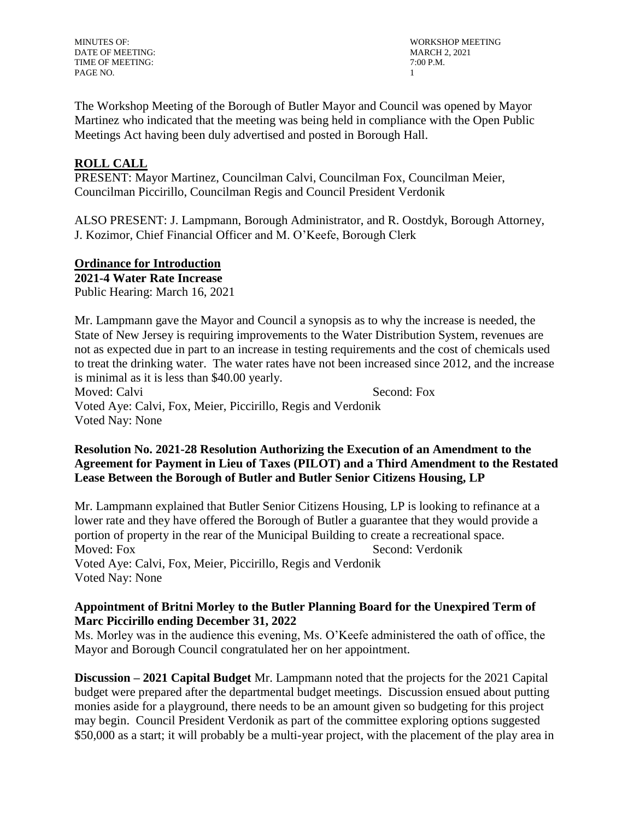DATE OF MEETING: MARCH 2, 2021 TIME OF MEETING:  $7:00$  P.M. PAGE NO. 2008 2009 12:00:00 12:00:00 12:00:00 12:00:00 12:00:00 12:00:00 12:00:00 12:00:00 12:00:00 12:00:00 12:00:00 12:00:00 12:00:00 12:00:00 12:00:00 12:00:00 12:00:00 12:00:00 12:00:00 12:00:00 12:00:00 12:00:00 12:00

MINUTES OF: WORKSHOP MEETING

The Workshop Meeting of the Borough of Butler Mayor and Council was opened by Mayor Martinez who indicated that the meeting was being held in compliance with the Open Public Meetings Act having been duly advertised and posted in Borough Hall.

# **ROLL CALL**

PRESENT: Mayor Martinez, Councilman Calvi, Councilman Fox, Councilman Meier, Councilman Piccirillo, Councilman Regis and Council President Verdonik

ALSO PRESENT: J. Lampmann, Borough Administrator, and R. Oostdyk, Borough Attorney, J. Kozimor, Chief Financial Officer and M. O'Keefe, Borough Clerk

### **Ordinance for Introduction**

**2021-4 Water Rate Increase** 

Public Hearing: March 16, 2021

Mr. Lampmann gave the Mayor and Council a synopsis as to why the increase is needed, the State of New Jersey is requiring improvements to the Water Distribution System, revenues are not as expected due in part to an increase in testing requirements and the cost of chemicals used to treat the drinking water. The water rates have not been increased since 2012, and the increase is minimal as it is less than \$40.00 yearly. Moved: Calvi Second: Fox

Voted Aye: Calvi, Fox, Meier, Piccirillo, Regis and Verdonik Voted Nay: None

# **Resolution No. 2021-28 Resolution Authorizing the Execution of an Amendment to the Agreement for Payment in Lieu of Taxes (PILOT) and a Third Amendment to the Restated Lease Between the Borough of Butler and Butler Senior Citizens Housing, LP**

Mr. Lampmann explained that Butler Senior Citizens Housing, LP is looking to refinance at a lower rate and they have offered the Borough of Butler a guarantee that they would provide a portion of property in the rear of the Municipal Building to create a recreational space. Moved: Fox Second: Verdonik Voted Aye: Calvi, Fox, Meier, Piccirillo, Regis and Verdonik Voted Nay: None

## **Appointment of Britni Morley to the Butler Planning Board for the Unexpired Term of Marc Piccirillo ending December 31, 2022**

Ms. Morley was in the audience this evening, Ms. O'Keefe administered the oath of office, the Mayor and Borough Council congratulated her on her appointment.

**Discussion – 2021 Capital Budget** Mr. Lampmann noted that the projects for the 2021 Capital budget were prepared after the departmental budget meetings. Discussion ensued about putting monies aside for a playground, there needs to be an amount given so budgeting for this project may begin. Council President Verdonik as part of the committee exploring options suggested \$50,000 as a start; it will probably be a multi-year project, with the placement of the play area in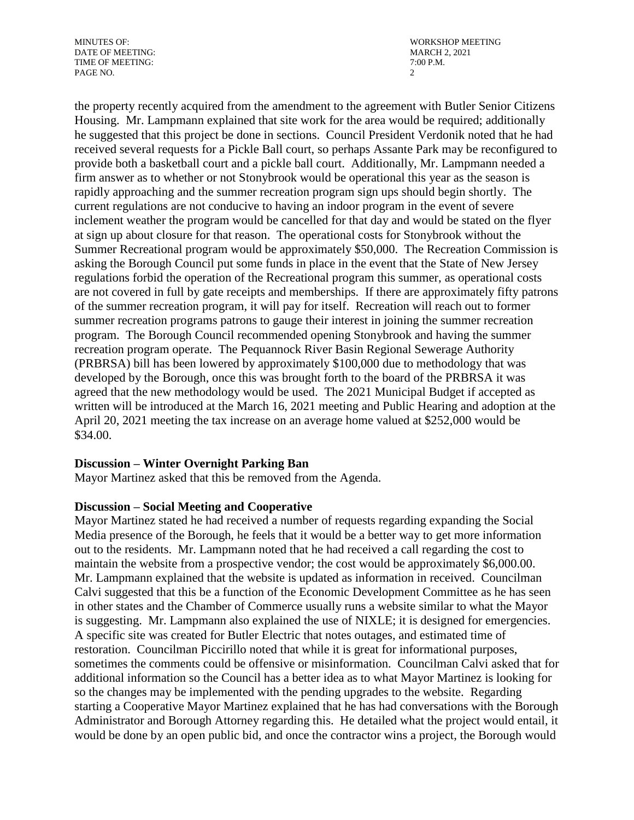DATE OF MEETING: TIME OF MEETING:  $7:00$  P.M. PAGE NO. 2

MINUTES OF: WORKSHOP MEETING<br>DATE OF MEETING: WORKSHOP MEETING

the property recently acquired from the amendment to the agreement with Butler Senior Citizens Housing. Mr. Lampmann explained that site work for the area would be required; additionally he suggested that this project be done in sections. Council President Verdonik noted that he had received several requests for a Pickle Ball court, so perhaps Assante Park may be reconfigured to provide both a basketball court and a pickle ball court. Additionally, Mr. Lampmann needed a firm answer as to whether or not Stonybrook would be operational this year as the season is rapidly approaching and the summer recreation program sign ups should begin shortly. The current regulations are not conducive to having an indoor program in the event of severe inclement weather the program would be cancelled for that day and would be stated on the flyer at sign up about closure for that reason. The operational costs for Stonybrook without the Summer Recreational program would be approximately \$50,000. The Recreation Commission is asking the Borough Council put some funds in place in the event that the State of New Jersey regulations forbid the operation of the Recreational program this summer, as operational costs are not covered in full by gate receipts and memberships. If there are approximately fifty patrons of the summer recreation program, it will pay for itself. Recreation will reach out to former summer recreation programs patrons to gauge their interest in joining the summer recreation program. The Borough Council recommended opening Stonybrook and having the summer recreation program operate. The Pequannock River Basin Regional Sewerage Authority (PRBRSA) bill has been lowered by approximately \$100,000 due to methodology that was developed by the Borough, once this was brought forth to the board of the PRBRSA it was agreed that the new methodology would be used. The 2021 Municipal Budget if accepted as written will be introduced at the March 16, 2021 meeting and Public Hearing and adoption at the April 20, 2021 meeting the tax increase on an average home valued at \$252,000 would be \$34.00.

## **Discussion – Winter Overnight Parking Ban**

Mayor Martinez asked that this be removed from the Agenda.

#### **Discussion – Social Meeting and Cooperative**

Mayor Martinez stated he had received a number of requests regarding expanding the Social Media presence of the Borough, he feels that it would be a better way to get more information out to the residents. Mr. Lampmann noted that he had received a call regarding the cost to maintain the website from a prospective vendor; the cost would be approximately \$6,000.00. Mr. Lampmann explained that the website is updated as information in received. Councilman Calvi suggested that this be a function of the Economic Development Committee as he has seen in other states and the Chamber of Commerce usually runs a website similar to what the Mayor is suggesting. Mr. Lampmann also explained the use of NIXLE; it is designed for emergencies. A specific site was created for Butler Electric that notes outages, and estimated time of restoration. Councilman Piccirillo noted that while it is great for informational purposes, sometimes the comments could be offensive or misinformation. Councilman Calvi asked that for additional information so the Council has a better idea as to what Mayor Martinez is looking for so the changes may be implemented with the pending upgrades to the website. Regarding starting a Cooperative Mayor Martinez explained that he has had conversations with the Borough Administrator and Borough Attorney regarding this. He detailed what the project would entail, it would be done by an open public bid, and once the contractor wins a project, the Borough would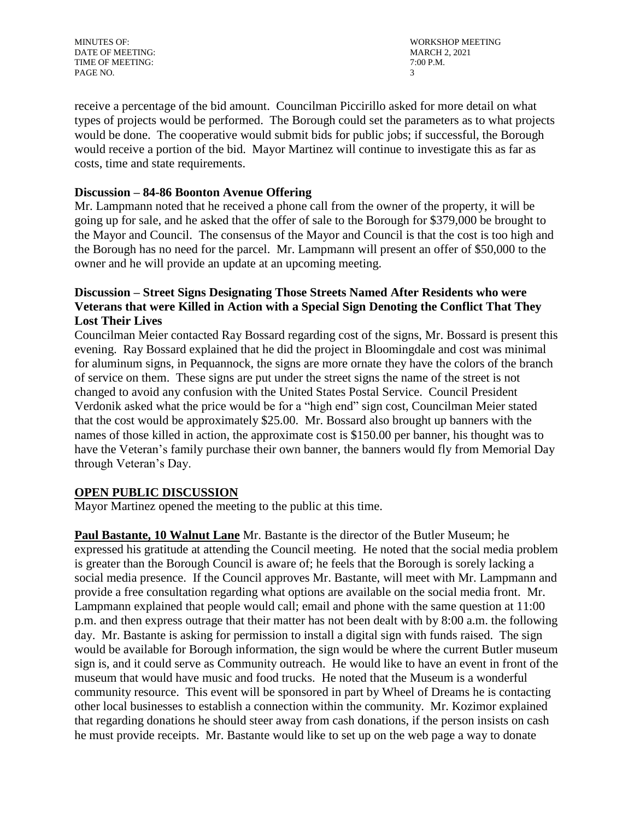DATE OF MEETING: TIME OF MEETING:  $7:00$  P.M. PAGE NO. 3

MINUTES OF: WORKSHOP MEETING<br>DATE OF MEETING: WORKSHOP MEETING

receive a percentage of the bid amount. Councilman Piccirillo asked for more detail on what types of projects would be performed. The Borough could set the parameters as to what projects would be done. The cooperative would submit bids for public jobs; if successful, the Borough would receive a portion of the bid. Mayor Martinez will continue to investigate this as far as costs, time and state requirements.

### **Discussion – 84-86 Boonton Avenue Offering**

Mr. Lampmann noted that he received a phone call from the owner of the property, it will be going up for sale, and he asked that the offer of sale to the Borough for \$379,000 be brought to the Mayor and Council. The consensus of the Mayor and Council is that the cost is too high and the Borough has no need for the parcel. Mr. Lampmann will present an offer of \$50,000 to the owner and he will provide an update at an upcoming meeting.

# **Discussion – Street Signs Designating Those Streets Named After Residents who were Veterans that were Killed in Action with a Special Sign Denoting the Conflict That They Lost Their Lives**

Councilman Meier contacted Ray Bossard regarding cost of the signs, Mr. Bossard is present this evening. Ray Bossard explained that he did the project in Bloomingdale and cost was minimal for aluminum signs, in Pequannock, the signs are more ornate they have the colors of the branch of service on them. These signs are put under the street signs the name of the street is not changed to avoid any confusion with the United States Postal Service. Council President Verdonik asked what the price would be for a "high end" sign cost, Councilman Meier stated that the cost would be approximately \$25.00. Mr. Bossard also brought up banners with the names of those killed in action, the approximate cost is \$150.00 per banner, his thought was to have the Veteran's family purchase their own banner, the banners would fly from Memorial Day through Veteran's Day.

## **OPEN PUBLIC DISCUSSION**

Mayor Martinez opened the meeting to the public at this time.

**Paul Bastante, 10 Walnut Lane** Mr. Bastante is the director of the Butler Museum; he expressed his gratitude at attending the Council meeting. He noted that the social media problem is greater than the Borough Council is aware of; he feels that the Borough is sorely lacking a social media presence. If the Council approves Mr. Bastante, will meet with Mr. Lampmann and provide a free consultation regarding what options are available on the social media front. Mr. Lampmann explained that people would call; email and phone with the same question at 11:00 p.m. and then express outrage that their matter has not been dealt with by 8:00 a.m. the following day. Mr. Bastante is asking for permission to install a digital sign with funds raised. The sign would be available for Borough information, the sign would be where the current Butler museum sign is, and it could serve as Community outreach. He would like to have an event in front of the museum that would have music and food trucks. He noted that the Museum is a wonderful community resource. This event will be sponsored in part by Wheel of Dreams he is contacting other local businesses to establish a connection within the community. Mr. Kozimor explained that regarding donations he should steer away from cash donations, if the person insists on cash he must provide receipts. Mr. Bastante would like to set up on the web page a way to donate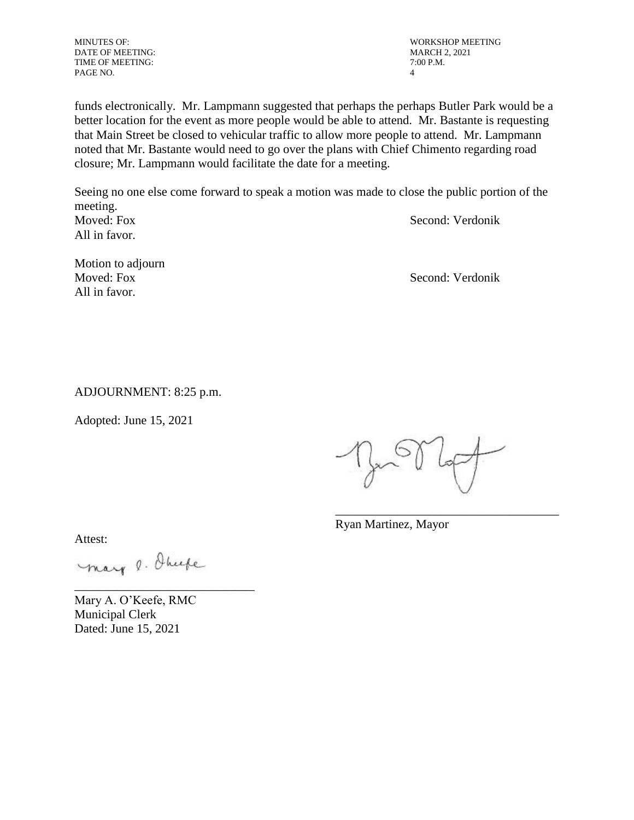MINUTES OF: WORKSHOP MEETING NATE OF MEETING DATE OF MEETING: DATE OF MEETING: TIME OF MEETING:  $7:00$  P.M. PAGE NO. 4

funds electronically. Mr. Lampmann suggested that perhaps the perhaps Butler Park would be a better location for the event as more people would be able to attend. Mr. Bastante is requesting that Main Street be closed to vehicular traffic to allow more people to attend. Mr. Lampmann noted that Mr. Bastante would need to go over the plans with Chief Chimento regarding road

Seeing no one else come forward to speak a motion was made to close the public portion of the meeting. Moved: Fox Second: Verdonik All in favor.

closure; Mr. Lampmann would facilitate the date for a meeting.

Motion to adjourn Moved: Fox Second: Verdonik All in favor.

ADJOURNMENT: 8:25 p.m.

Adopted: June 15, 2021

\_\_\_\_\_\_\_\_\_\_\_\_\_\_\_\_\_\_\_\_\_\_\_\_\_\_\_\_\_\_\_\_\_\_\_\_

Ryan Martinez, Mayor

Attest:

mary o. Ohnefe

\_\_\_\_\_\_\_\_\_\_\_\_\_\_\_\_\_\_\_\_\_\_\_\_\_\_\_\_\_

Mary A. O'Keefe, RMC Municipal Clerk Dated: June 15, 2021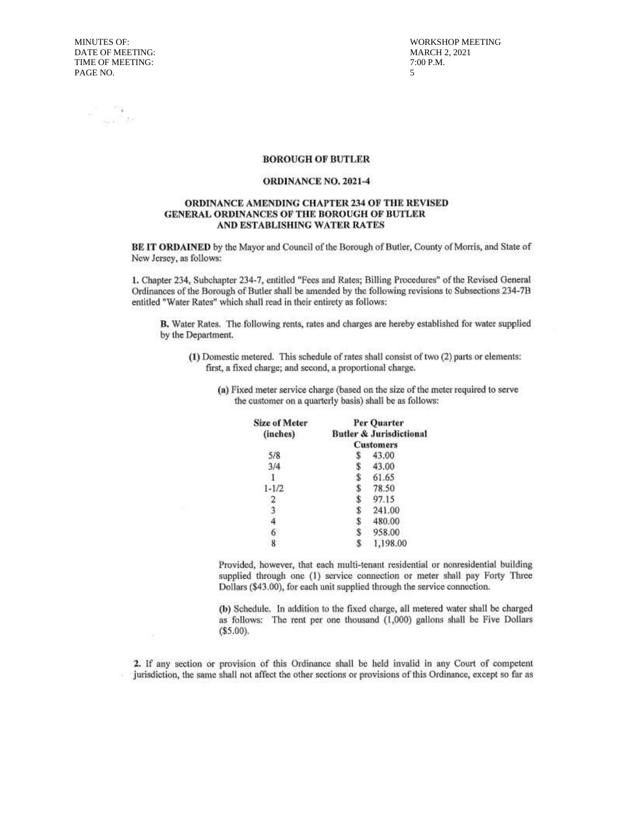**MINUTES OF:** DATE OF MEETING: TIME OF MEETING: PAGE NO.

**WORKSHOP MEETING MARCH 2, 2021** 7:00 P.M.  $\overline{\mathbf{S}}$ 

 $\label{eq:2.1} \begin{array}{cc} \mathcal{L}_{\text{max}} & \mathcal{L}_{\text{max}} \\ \mathcal{L}_{\text{max}} & \mathcal{L}_{\text{max}} \end{array}$ 

#### **BOROUGH OF BUTLER**

#### **ORDINANCE NO. 2021-4**

#### ORDINANCE AMENDING CHAPTER 234 OF THE REVISED GENERAL ORDINANCES OF THE BOROUGH OF BUTLER AND ESTABLISHING WATER RATES

BE IT ORDAINED by the Mayor and Council of the Borough of Butler, County of Morris, and State of New Jersey, as follows:

1. Chapter 234, Subchapter 234-7, entitled "Fees and Rates; Billing Procedures" of the Revised General Ordinances of the Borough of Butler shall be amended by the following revisions to Subsections 234-7B entitled "Water Rates" which shall read in their entirety as follows:

B. Water Rates. The following rents, rates and charges are hereby established for water supplied by the Department.

- (1) Domestic metered. This schedule of rates shall consist of two (2) parts or elements: first, a fixed charge; and second, a proportional charge.
	- (a) Fixed meter service charge (based on the size of the meter required to serve the customer on a quarterly basis) shall be as follows:

| <b>Size of Meter</b> | Per Ouarter                        |          |
|----------------------|------------------------------------|----------|
| (inches)             | <b>Butler &amp; Jurisdictional</b> |          |
|                      | <b>Customers</b>                   |          |
| 5/8                  |                                    | 43.00    |
| 3/4                  |                                    | 43.00    |
|                      | \$                                 | 61.65    |
| $1 - 1/2$            |                                    | 78.50    |
|                      |                                    | 97.15    |
|                      |                                    | 241.00   |
|                      | Ъ                                  | 480.00   |
|                      |                                    | 958.00   |
|                      |                                    | 1,198.00 |

Provided, however, that each multi-tenant residential or nonresidential building supplied through one (1) service connection or meter shall pay Forty Three Dollars (\$43.00), for each unit supplied through the service connection.

(b) Schedule. In addition to the fixed charge, all metered water shall be charged as follows: The rent per one thousand (1,000) gallons shall be Five Dollars  $($5.00).$ 

2. If any section or provision of this Ordinance shall be held invalid in any Court of competent jurisdiction, the same shall not affect the other sections or provisions of this Ordinance, except so far as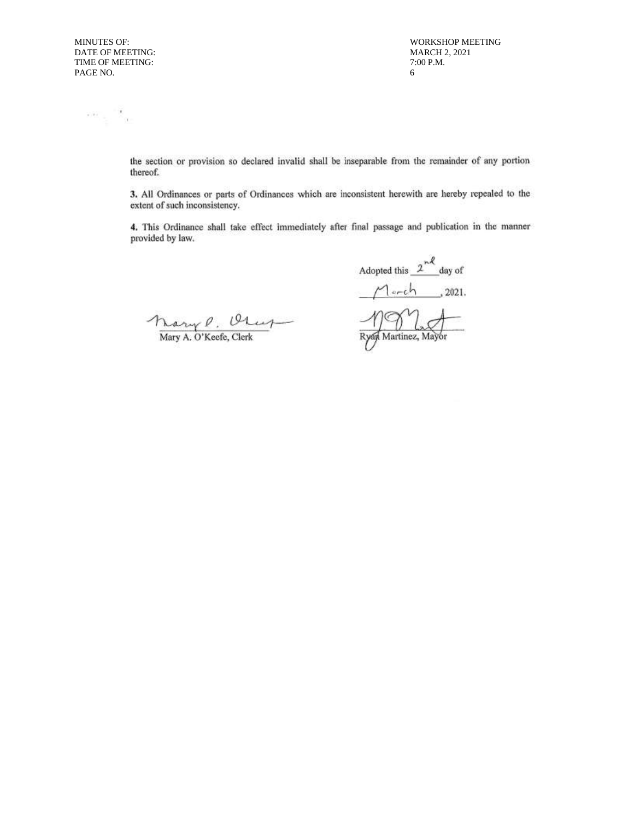$\sim$   $\sim$   $\sim$   $\sim$   $\sim$ 

MINUTES OF: WORKSHOP MEETING MARCH 2, 2021 6

> the section or provision so declared invalid shall be inseparable from the remainder of any portion thereof.

> 3. All Ordinances or parts of Ordinances which are inconsistent herewith are hereby repealed to the extent of such inconsistency.

> 4. This Ordinance shall take effect immediately after final passage and publication in the manner provided by law.

Mary P. Olup

Adopted this  $2^{n\ell}$  day of  $M$ erch  $, 2021.$  $\eta$ e Ryan Martinez, Mayor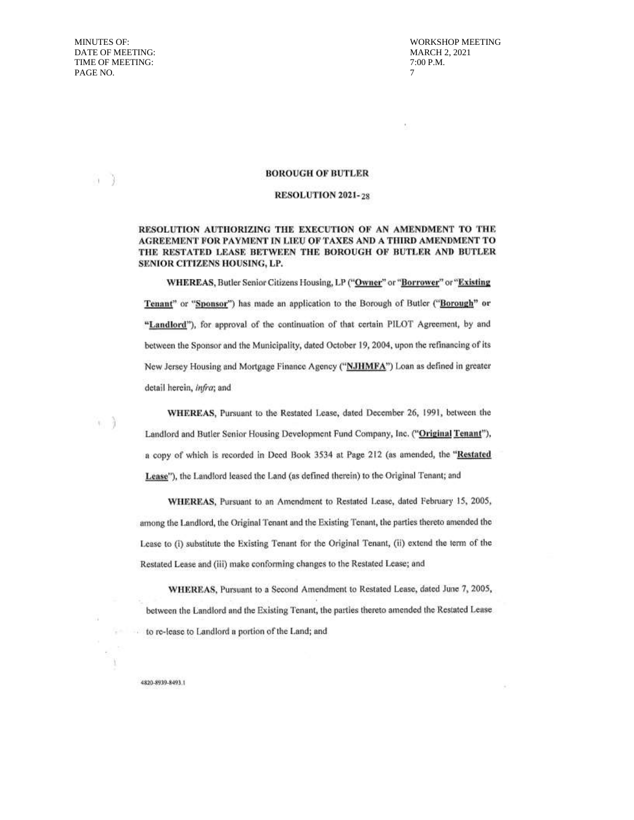$\rightarrow$ 

 $\leftarrow$ 

**WORKSHOP MEETING MARCH 2, 2021** 7:00 P.M.  $\overline{7}$ 

#### **BOROUGH OF BUTLER**

#### **RESOLUTION 2021-28**

#### RESOLUTION AUTHORIZING THE EXECUTION OF AN AMENDMENT TO THE AGREEMENT FOR PAYMENT IN LIEU OF TAXES AND A THIRD AMENDMENT TO THE RESTATED LEASE BETWEEN THE BOROUGH OF BUTLER AND BUTLER SENIOR CITIZENS HOUSING, LP.

WHEREAS, Butler Senior Citizens Housing, LP ("Owner" or "Borrower" or "Existing Tenant" or "Sponsor") has made an application to the Borough of Butler ("Borough" or "Landlord"), for approval of the continuation of that certain PILOT Agreement, by and between the Sponsor and the Municipality, dated October 19, 2004, upon the refinancing of its New Jersey Housing and Mortgage Finance Agency ("NJHMFA") Loan as defined in greater detail herein, infra; and

WHEREAS, Pursuant to the Restated Lease, dated December 26, 1991, between the Landlord and Butler Senior Housing Development Fund Company, Inc. ("Original Tenant"), a copy of which is recorded in Deed Book 3534 at Page 212 (as amended, the "Restated Lease"), the Landlord leased the Land (as defined therein) to the Original Tenant; and

WHEREAS, Pursuant to an Amendment to Restated Lease, dated February 15, 2005, among the Landlord, the Original Tenant and the Existing Tenant, the parties thereto amended the Lease to (i) substitute the Existing Tenant for the Original Tenant, (ii) extend the term of the Restated Lease and (iii) make conforming changes to the Restated Lease; and

WHEREAS, Pursuant to a Second Amendment to Restated Lease, dated June 7, 2005, between the Landlord and the Existing Tenant, the parties thereto amended the Restated Lease to re-lease to Landlord a portion of the Land; and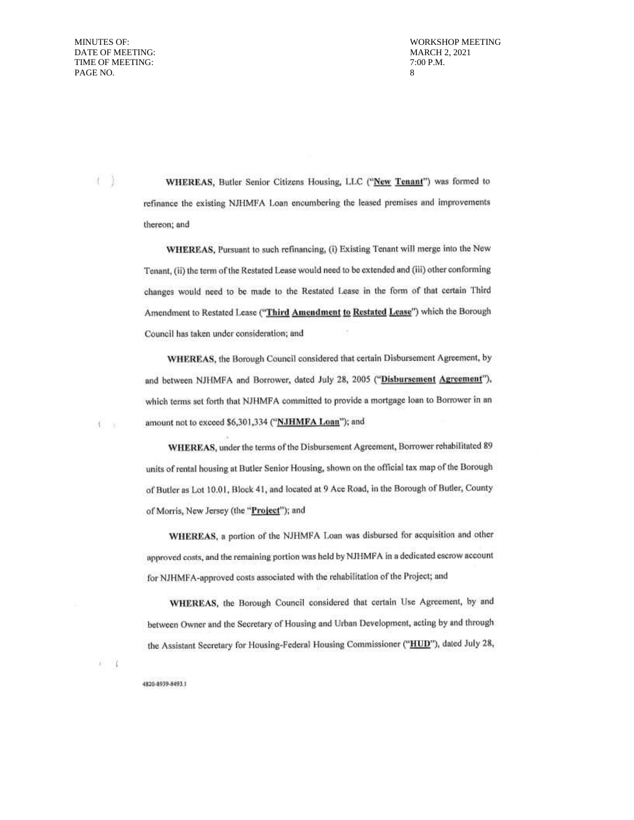$\left( -\right)$ 

40 m

 $\lambda$   $\lambda$   $\lambda$   $\lambda$ 

**WORKSHOP MEETING MARCH 2, 2021** 7:00 P.M.  $\mathbf{g}$ 

WHEREAS, Butler Senior Citizens Housing, LLC ("New Tenant") was formed to refinance the existing NJHMFA Loan encumbering the leased premises and improvements thereon; and

WHEREAS, Pursuant to such refinancing, (i) Existing Tenant will merge into the New Tenant, (ii) the term of the Restated Lease would need to be extended and (iii) other conforming changes would need to be made to the Restated Lease in the form of that certain Third Amendment to Restated Lease ("Third Amendment to Restated Lease") which the Borough Council has taken under consideration; and

WHEREAS, the Borough Council considered that certain Disbursement Agreement, by and between NJHMFA and Borrower, dated July 28, 2005 ("Disbursement Agreement"), which terms set forth that NJHMFA committed to provide a mortgage loan to Borrower in an amount not to exceed \$6,301,334 ("NJHMFA Loan"); and

WHEREAS, under the terms of the Disbursement Agreement, Borrower rehabilitated 89 units of rental housing at Butler Senior Housing, shown on the official tax map of the Borough of Butler as Lot 10.01, Block 41, and located at 9 Ace Road, in the Borough of Butler, County of Morris, New Jersey (the "Project"); and

WHEREAS, a portion of the NJHMFA Loan was disbursed for acquisition and other approved costs, and the remaining portion was held by NJHMFA in a dedicated escrow account for NJHMFA-approved costs associated with the rehabilitation of the Project; and

WHEREAS, the Borough Council considered that certain Use Agreement, by and between Owner and the Secretary of Housing and Urban Development, acting by and through the Assistant Secretary for Housing-Federal Housing Commissioner ("HUD"), dated July 28,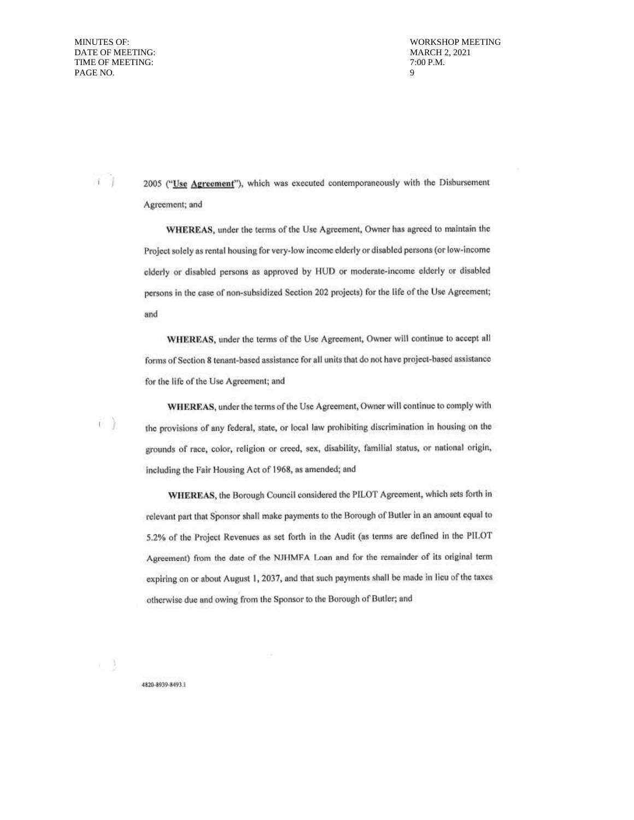$i$ 

ŨŤ

n 3

MARCH 2, 2021 9

2005 ("Use Agreement"), which was executed contemporaneously with the Disbursement Agreement; and

WHEREAS, under the terms of the Use Agreement, Owner has agreed to maintain the Project solely as rental housing for very-low income elderly or disabled persons (or low-income elderly or disabled persons as approved by HUD or moderate-income elderly or disabled persons in the case of non-subsidized Section 202 projects) for the life of the Use Agreement; and

WHEREAS, under the terms of the Use Agreement, Owner will continue to accept all forms of Section 8 tenant-based assistance for all units that do not have project-based assistance for the life of the Use Agreement; and

WHEREAS, under the terms of the Use Agreement, Owner will continue to comply with the provisions of any federal, state, or local law prohibiting discrimination in housing on the grounds of race, color, religion or creed, sex, disability, familial status, or national origin, including the Fair Housing Act of 1968, as amended; and

WHEREAS, the Borough Council considered the PILOT Agreement, which sets forth in relevant part that Sponsor shall make payments to the Borough of Butler in an amount equal to 5.2% of the Project Revenues as set forth in the Audit (as terms are defined in the PILOT Agreement) from the date of the NJHMFA Loan and for the remainder of its original term expiring on or about August 1, 2037, and that such payments shall be made in lieu of the taxes otherwise due and owing from the Sponsor to the Borough of Butler; and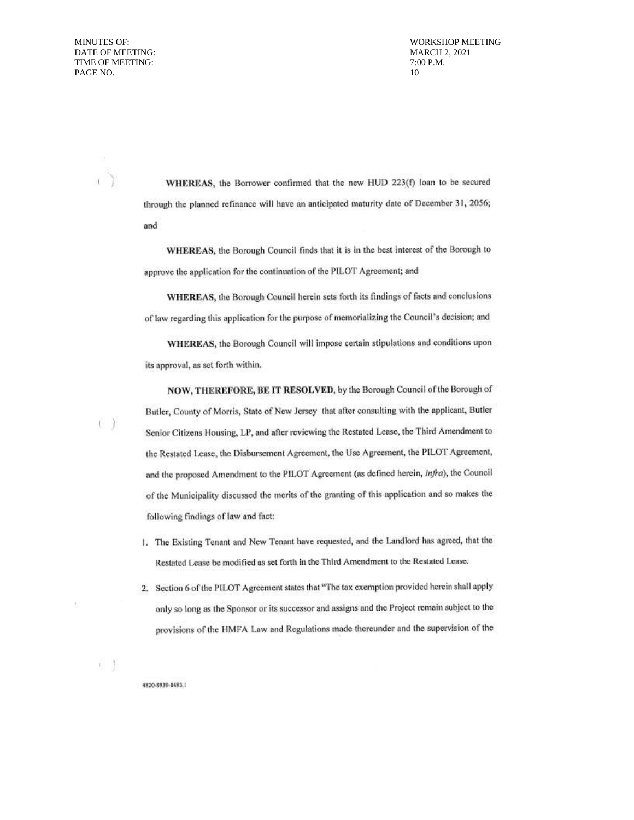i)

e Y

**WORKSHOP MEETING MARCH 2, 2021** 7:00 P.M. 10

WHEREAS, the Borrower confirmed that the new HUD 223(f) loan to be secured through the planned refinance will have an anticipated maturity date of December 31, 2056; and

WHEREAS, the Borough Council finds that it is in the best interest of the Borough to approve the application for the continuation of the PILOT Agreement; and

WHEREAS, the Borough Council herein sets forth its findings of facts and conclusions of law regarding this application for the purpose of memorializing the Council's decision; and

WHEREAS, the Borough Council will impose certain stipulations and conditions upon its approval, as set forth within.

NOW, THEREFORE, BE IT RESOLVED, by the Borough Council of the Borough of Butler, County of Morris, State of New Jersey that after consulting with the applicant, Butler Senior Citizens Housing, LP, and after reviewing the Restated Lease, the Third Amendment to the Restated Lease, the Disbursement Agreement, the Use Agreement, the PILOT Agreement, and the proposed Amendment to the PILOT Agreement (as defined herein, Infra), the Council of the Municipality discussed the merits of the granting of this application and so makes the following findings of law and fact:

- 1. The Existing Tenant and New Tenant have requested, and the Landlord has agreed, that the Restated Lease be modified as set forth in the Third Amendment to the Restated Lease.
- 2. Section 6 of the PILOT Agreement states that "The tax exemption provided herein shall apply only so long as the Sponsor or its successor and assigns and the Project remain subject to the provisions of the HMFA Law and Regulations made thereunder and the supervision of the

4820-8939-8493.1

前面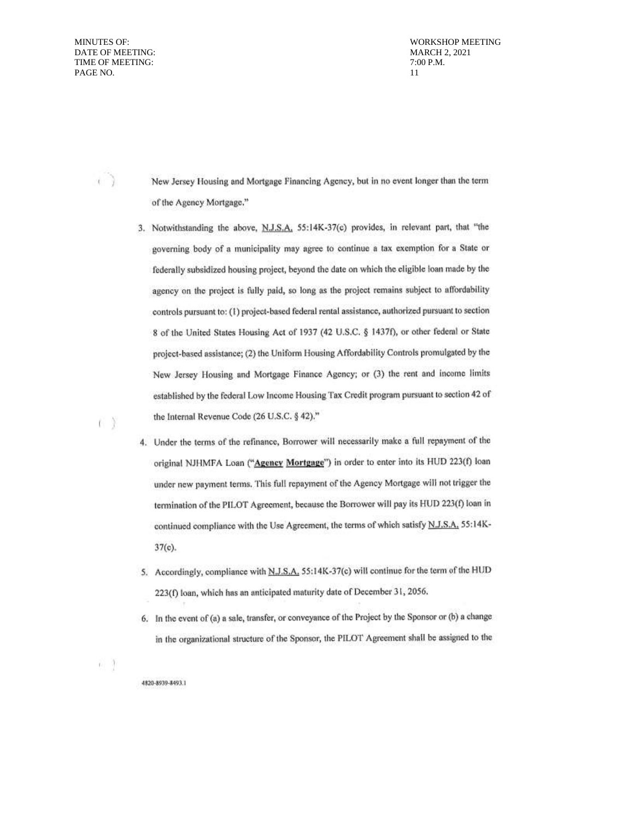$\langle \cdot \rangle$ 

n X

**WORKSHOP MEETING MARCH 2, 2021** 7:00 P.M.  $11$ 

New Jersey Housing and Mortgage Financing Agency, but in no event longer than the term of the Agency Mortgage."

- 3. Notwithstanding the above, N.J.S.A. 55:14K-37(c) provides, in relevant part, that "the governing body of a municipality may agree to continue a tax exemption for a State or federally subsidized housing project, beyond the date on which the eligible loan made by the agency on the project is fully paid, so long as the project remains subject to affordability controls pursuant to: (1) project-based federal rental assistance, authorized pursuant to section 8 of the United States Housing Act of 1937 (42 U.S.C. § 1437f), or other federal or State project-based assistance; (2) the Uniform Housing Affordability Controls promulgated by the New Jersey Housing and Mortgage Finance Agency; or (3) the rent and income limits established by the federal Low Income Housing Tax Credit program pursuant to section 42 of the Internal Revenue Code (26 U.S.C. § 42)."
- 4. Under the terms of the refinance, Borrower will necessarily make a full repayment of the original NJHMFA Loan ("Agency Mortgage") in order to enter into its HUD 223(f) loan under new payment terms. This full repayment of the Agency Mortgage will not trigger the termination of the PILOT Agreement, because the Borrower will pay its HUD 223(f) loan in continued compliance with the Use Agreement, the terms of which satisfy N.J.S.A. 55:14K- $37(c)$ .
- 5. Accordingly, compliance with N.J.S.A. 55:14K-37(c) will continue for the term of the HUD 223(f) loan, which has an anticipated maturity date of December 31, 2056.
- 6. In the event of (a) a sale, transfer, or conveyance of the Project by the Sponsor or (b) a change in the organizational structure of the Sponsor, the PILOT Agreement shall be assigned to the

61 9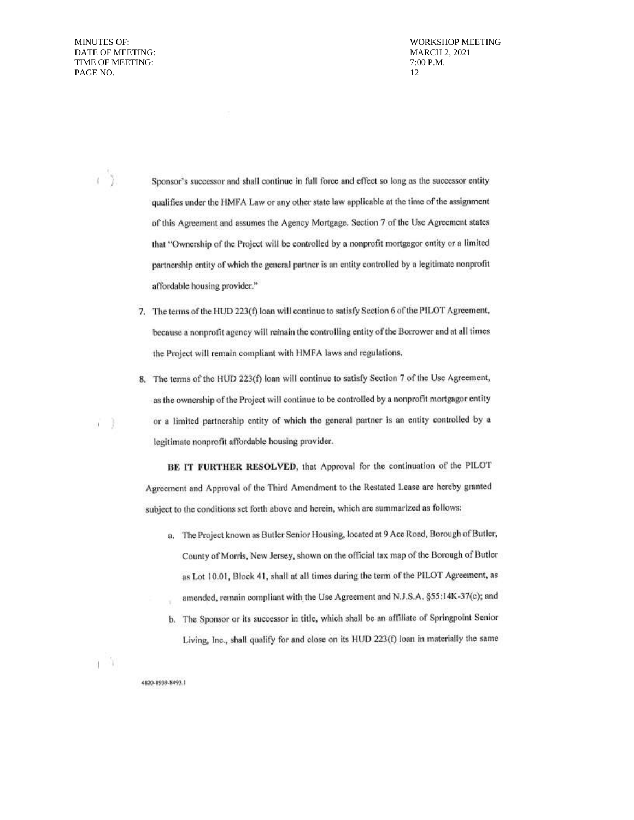$\left\langle \right\rangle$ 

X ıí.

**WORKSHOP MEETING MARCH 2, 2021** 7:00 P.M. 12

Sponsor's successor and shall continue in full force and effect so long as the successor entity qualifies under the HMFA Law or any other state law applicable at the time of the assignment of this Agreement and assumes the Agency Mortgage. Section 7 of the Use Agreement states that "Ownership of the Project will be controlled by a nonprofit mortgagor entity or a limited partnership entity of which the general partner is an entity controlled by a legitimate nonprofit affordable housing provider."

- 7. The terms of the HUD 223(f) loan will continue to satisfy Section 6 of the PILOT Agreement, because a nonprofit agency will remain the controlling entity of the Borrower and at all times the Project will remain compliant with HMFA laws and regulations.
- 8. The terms of the HUD 223(f) loan will continue to satisfy Section 7 of the Use Agreement, as the ownership of the Project will continue to be controlled by a nonprofit mortgagor entity or a limited partnership entity of which the general partner is an entity controlled by a legitimate nonprofit affordable housing provider.

BE IT FURTHER RESOLVED, that Approval for the continuation of the PILOT Agreement and Approval of the Third Amendment to the Restated Lease are hereby granted subject to the conditions set forth above and herein, which are summarized as follows:

- a. The Project known as Butler Senior Housing, located at 9 Ace Road, Borough of Butler, County of Morris, New Jersey, shown on the official tax map of the Borough of Butler as Lot 10.01, Block 41, shall at all times during the term of the PILOT Agreement, as amended, remain compliant with the Use Agreement and N.J.S.A. §55:14K-37(c); and
- b. The Sponsor or its successor in title, which shall be an affiliate of Springpoint Senior Living, Inc., shall qualify for and close on its HUD 223(f) loan in materially the same

ηŴ